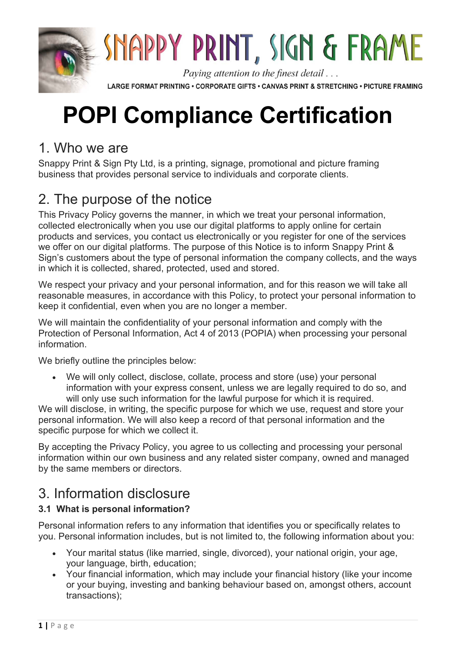

# **POPI Compliance Certification**

# 1. Who we are

Snappy Print & Sign Pty Ltd, is a printing, signage, promotional and picture framing business that provides personal service to individuals and corporate clients.

# 2. The purpose of the notice

This Privacy Policy governs the manner, in which we treat your personal information, collected electronically when you use our digital platforms to apply online for certain products and services, you contact us electronically or you register for one of the services we offer on our digital platforms. The purpose of this Notice is to inform Snappy Print & Sign's customers about the type of personal information the company collects, and the ways in which it is collected, shared, protected, used and stored.

We respect your privacy and your personal information, and for this reason we will take all reasonable measures, in accordance with this Policy, to protect your personal information to keep it confidential, even when you are no longer a member.

We will maintain the confidentiality of your personal information and comply with the Protection of Personal Information, Act 4 of 2013 (POPIA) when processing your personal information.

We briefly outline the principles below:

 We will only collect, disclose, collate, process and store (use) your personal information with your express consent, unless we are legally required to do so, and will only use such information for the lawful purpose for which it is required.

We will disclose, in writing, the specific purpose for which we use, request and store your personal information. We will also keep a record of that personal information and the specific purpose for which we collect it.

By accepting the Privacy Policy, you agree to us collecting and processing your personal information within our own business and any related sister company, owned and managed by the same members or directors.

### 3. Information disclosure

### **3.1 What is personal information?**

Personal information refers to any information that identifies you or specifically relates to you. Personal information includes, but is not limited to, the following information about you:

- Your marital status (like married, single, divorced), your national origin, your age, your language, birth, education;
- Your financial information, which may include your financial history (like your income or your buying, investing and banking behaviour based on, amongst others, account transactions);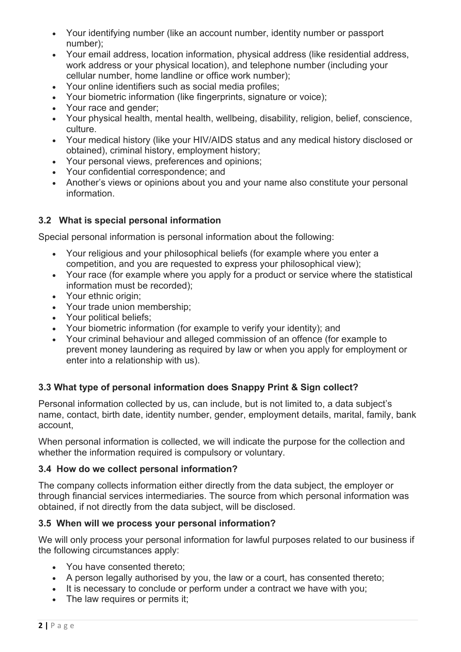- Your identifying number (like an account number, identity number or passport number);
- Your email address, location information, physical address (like residential address, work address or your physical location), and telephone number (including your cellular number, home landline or office work number);
- Your online identifiers such as social media profiles;
- Your biometric information (like fingerprints, signature or voice);
- Your race and gender;
- Your physical health, mental health, wellbeing, disability, religion, belief, conscience, culture.
- Your medical history (like your HIV/AIDS status and any medical history disclosed or obtained), criminal history, employment history;
- Your personal views, preferences and opinions;
- Your confidential correspondence; and
- Another's views or opinions about you and your name also constitute your personal information.

### **3.2 What is special personal information**

Special personal information is personal information about the following:

- Your religious and your philosophical beliefs (for example where you enter a competition, and you are requested to express your philosophical view);
- Your race (for example where you apply for a product or service where the statistical information must be recorded);
- Your ethnic origin:
- Your trade union membership;
- Your political beliefs;
- Your biometric information (for example to verify your identity); and
- Your criminal behaviour and alleged commission of an offence (for example to prevent money laundering as required by law or when you apply for employment or enter into a relationship with us).

### **3.3 What type of personal information does Snappy Print & Sign collect?**

Personal information collected by us, can include, but is not limited to, a data subject's name, contact, birth date, identity number, gender, employment details, marital, family, bank account,

When personal information is collected, we will indicate the purpose for the collection and whether the information required is compulsory or voluntary.

### **3.4 How do we collect personal information?**

The company collects information either directly from the data subject, the employer or through financial services intermediaries. The source from which personal information was obtained, if not directly from the data subject, will be disclosed.

### **3.5 When will we process your personal information?**

We will only process your personal information for lawful purposes related to our business if the following circumstances apply:

- You have consented thereto:
- A person legally authorised by you, the law or a court, has consented thereto;
- It is necessary to conclude or perform under a contract we have with you;
- The law requires or permits it: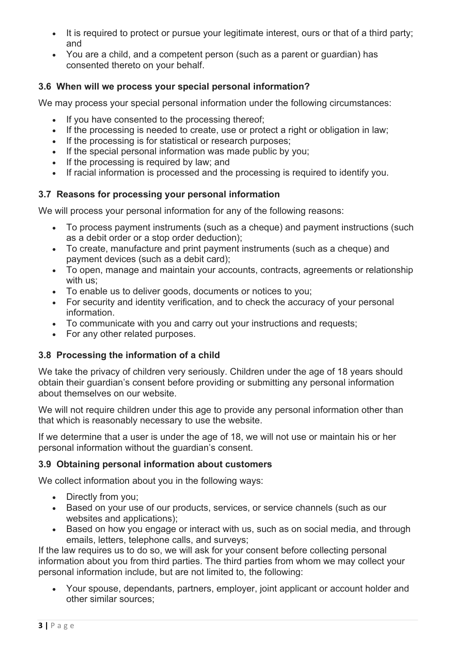- It is required to protect or pursue your legitimate interest, ours or that of a third party; and
- You are a child, and a competent person (such as a parent or guardian) has consented thereto on your behalf.

### **3.6 When will we process your special personal information?**

We may process your special personal information under the following circumstances:

- If you have consented to the processing thereof;
- If the processing is needed to create, use or protect a right or obligation in law;
- If the processing is for statistical or research purposes:
- If the special personal information was made public by you;
- If the processing is required by law; and
- If racial information is processed and the processing is required to identify you.

### **3.7 Reasons for processing your personal information**

We will process your personal information for any of the following reasons:

- To process payment instruments (such as a cheque) and payment instructions (such as a debit order or a stop order deduction);
- To create, manufacture and print payment instruments (such as a cheque) and payment devices (such as a debit card);
- To open, manage and maintain your accounts, contracts, agreements or relationship with us:
- To enable us to deliver goods, documents or notices to you;
- For security and identity verification, and to check the accuracy of your personal information.
- To communicate with you and carry out your instructions and requests;
- For any other related purposes.

### **3.8 Processing the information of a child**

We take the privacy of children very seriously. Children under the age of 18 years should obtain their guardian's consent before providing or submitting any personal information about themselves on our website.

We will not require children under this age to provide any personal information other than that which is reasonably necessary to use the website.

If we determine that a user is under the age of 18, we will not use or maintain his or her personal information without the guardian's consent.

### **3.9 Obtaining personal information about customers**

We collect information about you in the following ways:

- Directly from you:
- Based on your use of our products, services, or service channels (such as our websites and applications);
- Based on how you engage or interact with us, such as on social media, and through emails, letters, telephone calls, and surveys;

If the law requires us to do so, we will ask for your consent before collecting personal information about you from third parties. The third parties from whom we may collect your personal information include, but are not limited to, the following:

 Your spouse, dependants, partners, employer, joint applicant or account holder and other similar sources;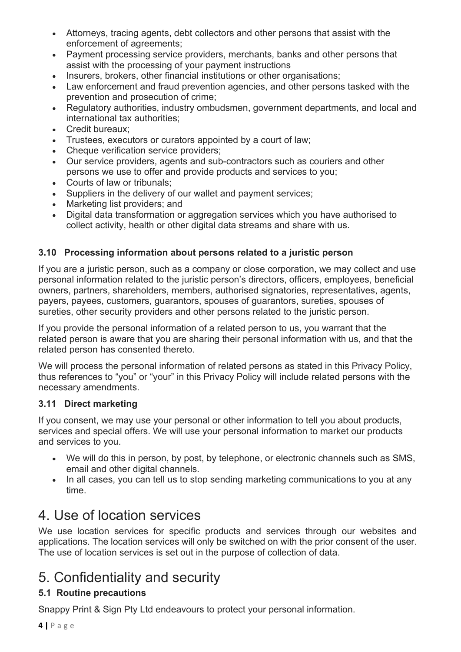- Attorneys, tracing agents, debt collectors and other persons that assist with the enforcement of agreements;
- Payment processing service providers, merchants, banks and other persons that assist with the processing of your payment instructions
- Insurers, brokers, other financial institutions or other organisations;
- Law enforcement and fraud prevention agencies, and other persons tasked with the prevention and prosecution of crime;
- Regulatory authorities, industry ombudsmen, government departments, and local and international tax authorities;
- Credit bureaux;
- Trustees, executors or curators appointed by a court of law;
- Cheque verification service providers;
- Our service providers, agents and sub-contractors such as couriers and other persons we use to offer and provide products and services to you;
- Courts of law or tribunals;
- Suppliers in the delivery of our wallet and payment services;
- Marketing list providers; and
- Digital data transformation or aggregation services which you have authorised to collect activity, health or other digital data streams and share with us.

### **3.10 Processing information about persons related to a juristic person**

If you are a juristic person, such as a company or close corporation, we may collect and use personal information related to the juristic person's directors, officers, employees, beneficial owners, partners, shareholders, members, authorised signatories, representatives, agents, payers, payees, customers, guarantors, spouses of guarantors, sureties, spouses of sureties, other security providers and other persons related to the juristic person.

If you provide the personal information of a related person to us, you warrant that the related person is aware that you are sharing their personal information with us, and that the related person has consented thereto.

We will process the personal information of related persons as stated in this Privacy Policy, thus references to "you" or "your" in this Privacy Policy will include related persons with the necessary amendments.

### **3.11 Direct marketing**

If you consent, we may use your personal or other information to tell you about products, services and special offers. We will use your personal information to market our products and services to you.

- We will do this in person, by post, by telephone, or electronic channels such as SMS, email and other digital channels.
- In all cases, you can tell us to stop sending marketing communications to you at any time.

### 4. Use of location services

We use location services for specific products and services through our websites and applications. The location services will only be switched on with the prior consent of the user. The use of location services is set out in the purpose of collection of data.

# 5. Confidentiality and security

### **5.1 Routine precautions**

Snappy Print & Sign Pty Ltd endeavours to protect your personal information.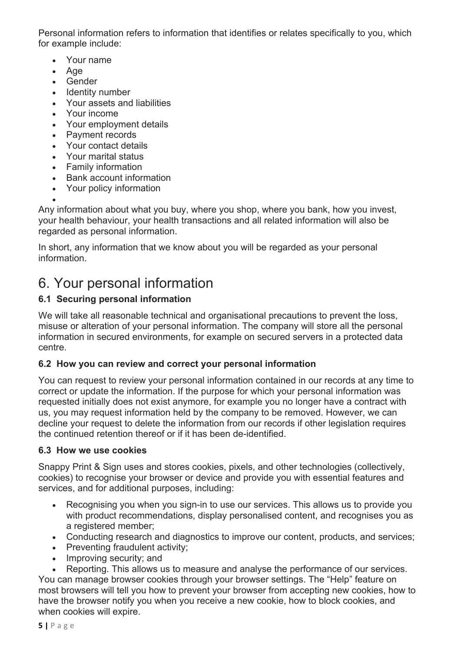Personal information refers to information that identifies or relates specifically to you, which for example include:

- Your name
- Age
- Gender
- Identity number
- Your assets and liabilities
- Your income
- Your employment details
- Payment records
- Your contact details
- Your marital status
- Family information
- Bank account information
- Your policy information

 $\bullet$ Any information about what you buy, where you shop, where you bank, how you invest, your health behaviour, your health transactions and all related information will also be regarded as personal information.

In short, any information that we know about you will be regarded as your personal information.

# 6. Your personal information

### **6.1 Securing personal information**

We will take all reasonable technical and organisational precautions to prevent the loss, misuse or alteration of your personal information. The company will store all the personal information in secured environments, for example on secured servers in a protected data centre.

### **6.2 How you can review and correct your personal information**

You can request to review your personal information contained in our records at any time to correct or update the information. If the purpose for which your personal information was requested initially does not exist anymore, for example you no longer have a contract with us, you may request information held by the company to be removed. However, we can decline your request to delete the information from our records if other legislation requires the continued retention thereof or if it has been de-identified.

### **6.3 How we use cookies**

Snappy Print & Sign uses and stores cookies, pixels, and other technologies (collectively, cookies) to recognise your browser or device and provide you with essential features and services, and for additional purposes, including:

- Recognising you when you sign-in to use our services. This allows us to provide you with product recommendations, display personalised content, and recognises you as a registered member;
- Conducting research and diagnostics to improve our content, products, and services;
- Preventing fraudulent activity:
- Improving security; and
- Reporting. This allows us to measure and analyse the performance of our services. You can manage browser cookies through your browser settings. The "Help" feature on most browsers will tell you how to prevent your browser from accepting new cookies, how to have the browser notify you when you receive a new cookie, how to block cookies, and when cookies will expire.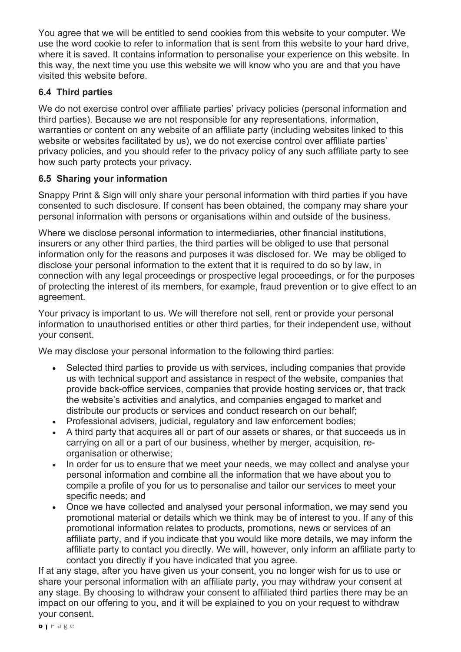You agree that we will be entitled to send cookies from this website to your computer. We use the word cookie to refer to information that is sent from this website to your hard drive, where it is saved. It contains information to personalise your experience on this website. In this way, the next time you use this website we will know who you are and that you have visited this website before.

### **6.4 Third parties**

We do not exercise control over affiliate parties' privacy policies (personal information and third parties). Because we are not responsible for any representations, information, warranties or content on any website of an affiliate party (including websites linked to this website or websites facilitated by us), we do not exercise control over affiliate parties' privacy policies, and you should refer to the privacy policy of any such affiliate party to see how such party protects your privacy.

### **6.5 Sharing your information**

Snappy Print & Sign will only share your personal information with third parties if you have consented to such disclosure. If consent has been obtained, the company may share your personal information with persons or organisations within and outside of the business.

Where we disclose personal information to intermediaries, other financial institutions, insurers or any other third parties, the third parties will be obliged to use that personal information only for the reasons and purposes it was disclosed for. We may be obliged to disclose your personal information to the extent that it is required to do so by law, in connection with any legal proceedings or prospective legal proceedings, or for the purposes of protecting the interest of its members, for example, fraud prevention or to give effect to an agreement.

Your privacy is important to us. We will therefore not sell, rent or provide your personal information to unauthorised entities or other third parties, for their independent use, without your consent.

We may disclose your personal information to the following third parties:

- Selected third parties to provide us with services, including companies that provide us with technical support and assistance in respect of the website, companies that provide back-office services, companies that provide hosting services or, that track the website's activities and analytics, and companies engaged to market and distribute our products or services and conduct research on our behalf;
- Professional advisers, judicial, regulatory and law enforcement bodies;
- A third party that acquires all or part of our assets or shares, or that succeeds us in carrying on all or a part of our business, whether by merger, acquisition, reorganisation or otherwise;
- In order for us to ensure that we meet your needs, we may collect and analyse your personal information and combine all the information that we have about you to compile a profile of you for us to personalise and tailor our services to meet your specific needs; and
- Once we have collected and analysed your personal information, we may send you promotional material or details which we think may be of interest to you. If any of this promotional information relates to products, promotions, news or services of an affiliate party, and if you indicate that you would like more details, we may inform the affiliate party to contact you directly. We will, however, only inform an affiliate party to contact you directly if you have indicated that you agree.

If at any stage, after you have given us your consent, you no longer wish for us to use or share your personal information with an affiliate party, you may withdraw your consent at any stage. By choosing to withdraw your consent to affiliated third parties there may be an impact on our offering to you, and it will be explained to you on your request to withdraw your consent.